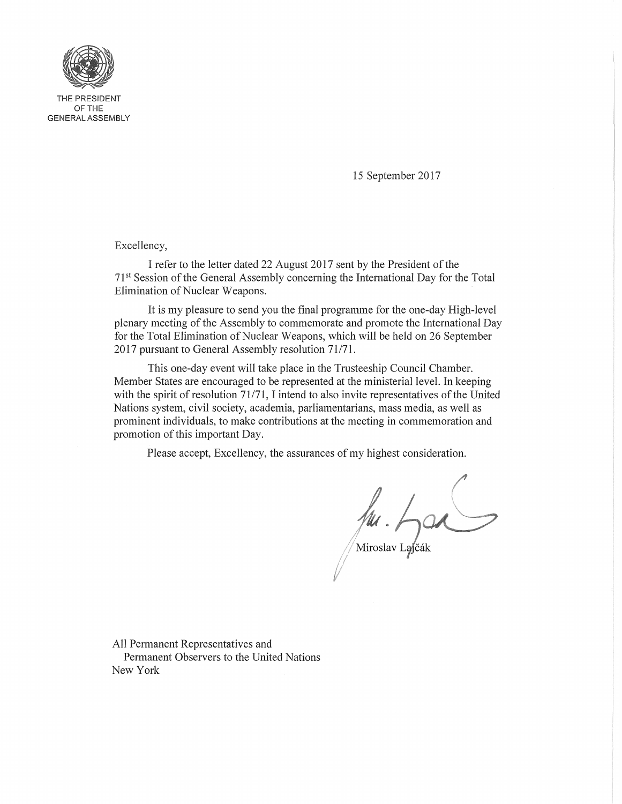

THE PRESIDENT OFTHE GENERAL ASSEMBLY

15 September 2017

Excellency,

I refer to the letter dated 22 August 2017 sent by the President of the 71<sup>st</sup> Session of the General Assembly concerning the International Day for the Total Elimination of Nuclear Weapons.

It is my pleasure to send you the final programme for the one-day High-level plenary meeting of the Assembly to commemorate and promote the International Day for the Total Elimination of Nuclear Weapons, which will be held on 26 September 2017 pursuant to General Assembly resolution 71/71.

This one-day event will take place in the Trusteeship Council Chamber. Member States are encouraged to be represented at the ministerial level. **In** keeping with the spirit of resolution 71171, I intend to also invite representatives of the United Nations system, civil society, academia, parliamentarians, mass media, as well as prominent individuals, to make contributions at the meeting in commemoration and promotion of this important Day.

Please accept, Excellency, the assurances of my highest consideration.

**flu** .<br>Miroslav Lafčák

All Permanent Representatives and Permanent Observers to the United Nations New York